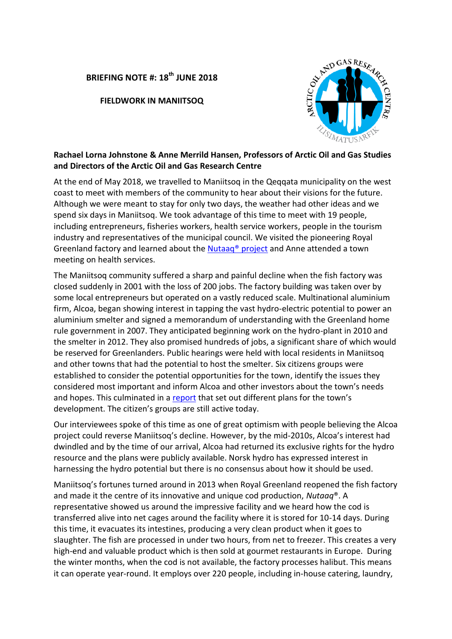## **BRIEFING NOTE #: 18th JUNE 2018**

**FIELDWORK IN MANIITSOQ**



## **Rachael Lorna Johnstone & Anne Merrild Hansen, Professors of Arctic Oil and Gas Studies and Directors of the Arctic Oil and Gas Research Centre**

At the end of May 2018, we travelled to Maniitsoq in the Qeqqata municipality on the west coast to meet with members of the community to hear about their visions for the future. Although we were meant to stay for only two days, the weather had other ideas and we spend six days in Maniitsoq. We took advantage of this time to meet with 19 people, including entrepreneurs, fisheries workers, health service workers, people in the tourism industry and representatives of the municipal council. We visited the pioneering Royal Greenland factory and learned about the [Nutaaq® project](https://www.royalgreenland.com/foodservice/product-news/nutaaq-cod/) and Anne attended a town meeting on health services.

The Maniitsoq community suffered a sharp and painful decline when the fish factory was closed suddenly in 2001 with the loss of 200 jobs. The factory building was taken over by some local entrepreneurs but operated on a vastly reduced scale. Multinational aluminium firm, Alcoa, began showing interest in tapping the vast hydro-electric potential to power an aluminium smelter and signed a memorandum of understanding with the Greenland home rule government in 2007. They anticipated beginning work on the hydro-plant in 2010 and the smelter in 2012. They also promised hundreds of jobs, a significant share of which would be reserved for Greenlanders. Public hearings were held with local residents in Maniitsoq and other towns that had the potential to host the smelter. Six citizens groups were established to consider the potential opportunities for the town, identify the issues they considered most important and inform Alcoa and other investors about the town's needs and hopes. This culminated in a [report](http://70n.no/Maniitsoq-political-landscape) that set out different plans for the town's development. The citizen's groups are still active today.

Our interviewees spoke of this time as one of great optimism with people believing the Alcoa project could reverse Maniitsoq's decline. However, by the mid-2010s, Alcoa's interest had dwindled and by the time of our arrival, Alcoa had returned its exclusive rights for the hydro resource and the plans were publicly available. Norsk hydro has expressed interest in harnessing the hydro potential but there is no consensus about how it should be used.

Maniitsoq's fortunes turned around in 2013 when Royal Greenland reopened the fish factory and made it the centre of its innovative and unique cod production, *Nutaaq*®. A representative showed us around the impressive facility and we heard how the cod is transferred alive into net cages around the facility where it is stored for 10-14 days. During this time, it evacuates its intestines, producing a very clean product when it goes to slaughter. The fish are processed in under two hours, from net to freezer. This creates a very high-end and valuable product which is then sold at gourmet restaurants in Europe. During the winter months, when the cod is not available, the factory processes halibut. This means it can operate year-round. It employs over 220 people, including in-house catering, laundry,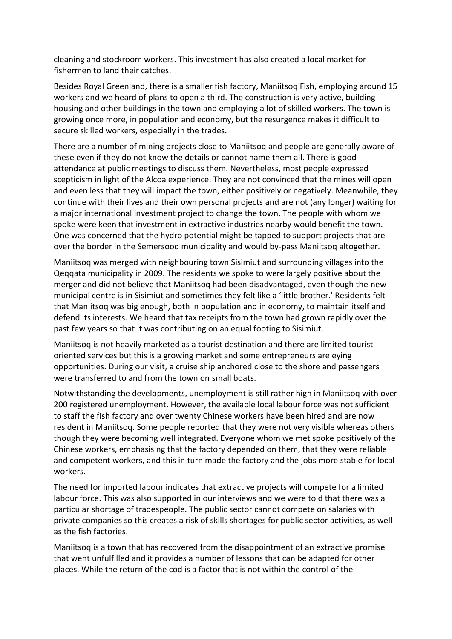cleaning and stockroom workers. This investment has also created a local market for fishermen to land their catches.

Besides Royal Greenland, there is a smaller fish factory, Maniitsoq Fish, employing around 15 workers and we heard of plans to open a third. The construction is very active, building housing and other buildings in the town and employing a lot of skilled workers. The town is growing once more, in population and economy, but the resurgence makes it difficult to secure skilled workers, especially in the trades.

There are a number of mining projects close to Maniitsoq and people are generally aware of these even if they do not know the details or cannot name them all. There is good attendance at public meetings to discuss them. Nevertheless, most people expressed scepticism in light of the Alcoa experience. They are not convinced that the mines will open and even less that they will impact the town, either positively or negatively. Meanwhile, they continue with their lives and their own personal projects and are not (any longer) waiting for a major international investment project to change the town. The people with whom we spoke were keen that investment in extractive industries nearby would benefit the town. One was concerned that the hydro potential might be tapped to support projects that are over the border in the Semersooq municipality and would by-pass Maniitsoq altogether.

Maniitsoq was merged with neighbouring town Sisimiut and surrounding villages into the Qeqqata municipality in 2009. The residents we spoke to were largely positive about the merger and did not believe that Maniitsoq had been disadvantaged, even though the new municipal centre is in Sisimiut and sometimes they felt like a 'little brother.' Residents felt that Maniitsoq was big enough, both in population and in economy, to maintain itself and defend its interests. We heard that tax receipts from the town had grown rapidly over the past few years so that it was contributing on an equal footing to Sisimiut.

Maniitsoq is not heavily marketed as a tourist destination and there are limited touristoriented services but this is a growing market and some entrepreneurs are eying opportunities. During our visit, a cruise ship anchored close to the shore and passengers were transferred to and from the town on small boats.

Notwithstanding the developments, unemployment is still rather high in Maniitsoq with over 200 registered unemployment. However, the available local labour force was not sufficient to staff the fish factory and over twenty Chinese workers have been hired and are now resident in Maniitsoq. Some people reported that they were not very visible whereas others though they were becoming well integrated. Everyone whom we met spoke positively of the Chinese workers, emphasising that the factory depended on them, that they were reliable and competent workers, and this in turn made the factory and the jobs more stable for local workers.

The need for imported labour indicates that extractive projects will compete for a limited labour force. This was also supported in our interviews and we were told that there was a particular shortage of tradespeople. The public sector cannot compete on salaries with private companies so this creates a risk of skills shortages for public sector activities, as well as the fish factories.

Maniitsoq is a town that has recovered from the disappointment of an extractive promise that went unfulfilled and it provides a number of lessons that can be adapted for other places. While the return of the cod is a factor that is not within the control of the